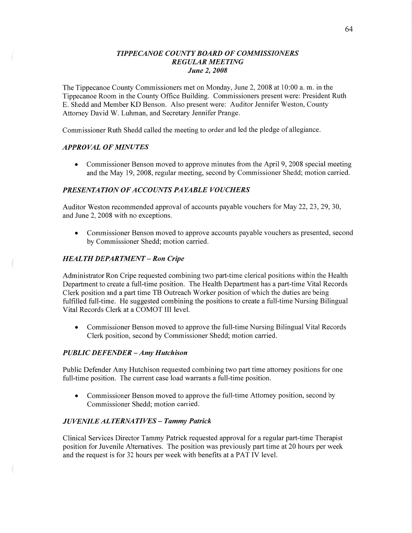# *TIPPECANOE COUNTY BOARD* OF *COMMISSIONERS REGULAR MEETING June* 2, *2008*

The Tippecanoe County Commissioners met on Monday, June 2, 2008 at 10:00 a. m. in the Tippecanoe Room in the County Office Building. Commissioners present were: President Ruth B. Shedd and Member KD Benson. Also present were: Auditor Jennifer Weston, County Attorney David W. Luhman, and Secretary Jennifer Prange.

Commissioner Ruth Shedd called the meeting to order and led the pledge of allegiance.

### *APPROVAL* OF *MINUTES*

• Commissioner Benson moved to approve minutes from the April 9, 2008 special meeting and the May 19, 2008, regular meeting, second by Commissioner Shedd; motion carried.

### *PRESENTATION* OF *ACCOUNTS PAYABLE VOUCHERS*

Auditor Weston recommended approval of accounts payable vouchers for May 22, 23, 29, 30, and June 2, 2008 with no exceptions.

**0** Commissioner Benson moved to approve accounts payable vouchers as presented, second by Commissioner Shedd; motion carried.

### *HEALTH DEPARTMENT - Ron Cripe*

Administrator Ron Cripe requested combining two part-time clerical positions within the Health Department to create a full-time position. The Health Department has a part-time Vital Records Clerk position and a part time TB Outreach Worker position of which the duties are being fulfilled full-time. He suggested combining the positions to create a full-time Nursing Bilingual Vital Records Clerk at a COMOT III level.

• Commissioner Benson moved to approve the full-time Nursing Bilingual Vital Records Clerk position, second by Commissioner Shedd; motion carried.

### *PUBLIC DEFENDER* — Amy *H utchison*

Public Defender Amy Hutchison requested combining two part time attorney positions for one full-time position. The current case load warrants a full-time position.

**0** Commissioner Benson moved to approve the full-time Attorney position, second by Commissioner Shedd; motion carried.

### *JUVENILE* AL *TERNA TIVES* - *Tammy Patrick*

Clinical Services Director Tammy Patrick requested approval for a regular part-time Therapist position for Juvenile Alternatives. The position was previously part time at 20 hours per week and the request is for 32 hours per week with benefits at a PAT IV level.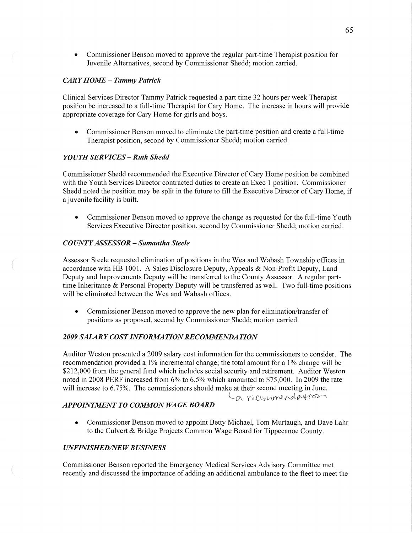**0** Commissioner Benson moved to approve the regular part-time Therapist position for Juvenile Alternatives, second by Commissioner Shedd; motion carried.

## CAR *Y HOME* — *Tammy Patrick*

Clinical Services Director Tammy Patrick requested a part time 32 hours per week Therapist position be increased to a full-time Therapist for Cary Home. The increase in hours will provide appropriate coverage for Cary Home for girls and boys.

**0** Commissioner Benson moved to eliminate the part-time position and create a full-time Therapist position, second by Commissioner Shedd; motion carried.

## *YOUTH* SER *VICES* **—** *Ruth Shedd*

Commissioner Shedd recommended the Executive Director of Cary Home position be combined with the Youth Services Director contracted duties to create an Exec 1 position. Commissioner Shedd noted the position may be split in the future to fill the Executive Director of Cary Home, if **a** juvenile facility is built.

**0** Commissioner Benson moved to approve the change as requested for the full-time Youth Services Executive Director position, second by Commissioner Shedd; motion carried.

## C0 *UNTYASSESSOR* **—** *Samantha Steele*

Assessor Steele requested elimination of positions in the Wea and Wabash Township offices in accordance with HB 1001. **A** Sales Disclosure Deputy, Appeals & Non-Profit Deputy, Land Deputy and Improvements Deputy will be transferred to the County Assessor. A regular parttime Inheritance & Personal Property Deputy will be transferred as well. Two full-time positions will be eliminated between the Wea and Wabash offices.

• Commissioner Benson moved to approve the new plan for elimination/transfer of positions as proposed, second by Commissioner Shedd; motion carried.

# 2009 SALARY COST INFORMATION RECOMMENDATION

Auditor Weston presented a 2009 salary cost information for the commissioners to consider. The recommendation provided a 1% incremental change; the total amount for a 1% change will be \$212,000 from the general fund which includes social security and retirement. Auditor Weston noted in 2008 PERF increased from 6% to 6.5% which amounted to \$75,000. In 2009 the rate will increase to 6.75%. The commissioners should **make** at their second meeting in June.

La recommendation

## **APPOINTMENT TO COMMON WAGE BOARD**

**0** Commissioner Benson moved to appoint Betty Michael, Tom Murtaugh, and Dave Lahr to the Culvert & Bridge Projects Common Wage Board for Tippecanoe County.

# *UNFINISHED/NEW BUSINESS*

Commissioner Benson reported the Emergency Medical Services Advisory Committee met recently and discussed the importance of adding an additional ambulance to the fleet to meet the